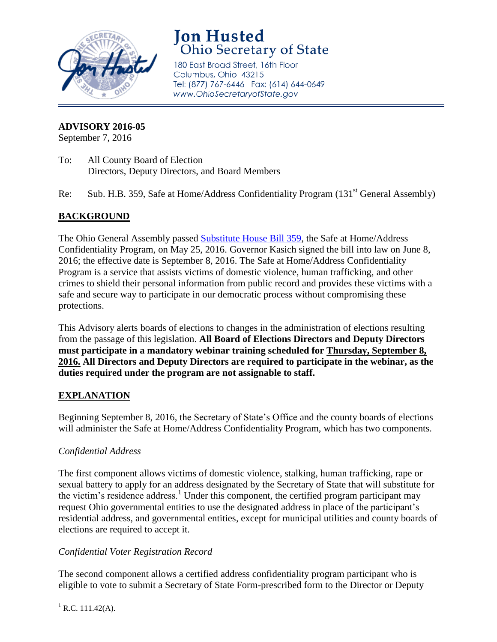

# **Jon Husted**<br>Ohio Secretary of State

180 East Broad Street, 16th Floor Columbus, Ohio 43215 Tel: (877) 767-6446 Fax: (614) 644-0649 www.OhioSecretaryofState.gov

#### **ADVISORY 2016-05**

September 7, 2016

- To: All County Board of Election Directors, Deputy Directors, and Board Members
- Re: Sub. H.B. 359, Safe at Home/Address Confidentiality Program (131<sup>st</sup> General Assembly)

## **BACKGROUND**

The Ohio General Assembly passed [Substitute House Bill 359,](http://www.sos.state.oh.us/sos/upload/elections/advisories/2016/359.pdf) the Safe at Home/Address Confidentiality Program, on May 25, 2016. Governor Kasich signed the bill into law on June 8, 2016; the effective date is September 8, 2016. The Safe at Home/Address Confidentiality Program is a service that assists victims of domestic violence, human trafficking, and other crimes to shield their personal information from public record and provides these victims with a safe and secure way to participate in our democratic process without compromising these protections.

This Advisory alerts boards of elections to changes in the administration of elections resulting from the passage of this legislation. **All Board of Elections Directors and Deputy Directors must participate in a mandatory webinar training scheduled for Thursday, September 8, 2016. All Directors and Deputy Directors are required to participate in the webinar, as the duties required under the program are not assignable to staff.**

### **EXPLANATION**

Beginning September 8, 2016, the Secretary of State's Office and the county boards of elections will administer the Safe at Home/Address Confidentiality Program, which has two components.

### *Confidential Address*

The first component allows victims of domestic violence, stalking, human trafficking, rape or sexual battery to apply for an address designated by the Secretary of State that will substitute for the victim's residence address.<sup>1</sup> Under this component, the certified program participant may request Ohio governmental entities to use the designated address in place of the participant's residential address, and governmental entities, except for municipal utilities and county boards of elections are required to accept it.

### *Confidential Voter Registration Record*

The second component allows a certified address confidentiality program participant who is eligible to vote to submit a Secretary of State Form-prescribed form to the Director or Deputy

 $\overline{\phantom{a}}$  $^{1}$  R.C. 111.42(A).